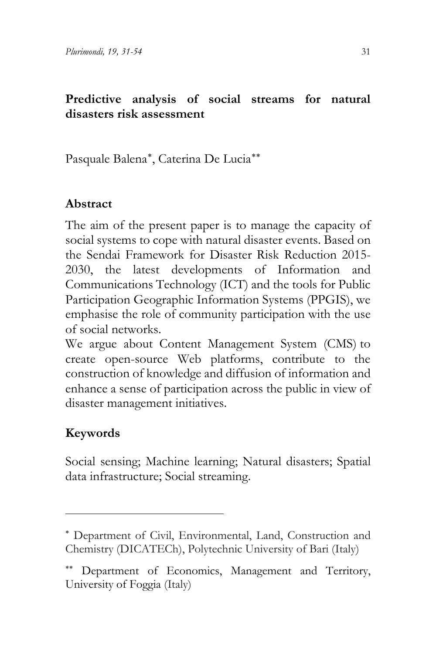### **Predictive analysis of social streams for natural disasters risk assessment**

Pasquale Balena[∗](#page-9-0), Caterina De Lucia[∗∗](#page-0-0)

### **Abstract**

The aim of the present paper is to manage the capacity of social systems to cope with natural disaster events. Based on the Sendai Framework for Disaster Risk Reduction 2015- 2030, the latest developments of Information and Communications Technology (ICT) and the tools for Public Participation Geographic Information Systems (PPGIS), we emphasise the role of community participation with the use of social networks.

We argue about Content Management System (CMS) to create open-source Web platforms, contribute to the construction of knowledge and diffusion of information and enhance a sense of participation across the public in view of disaster management initiatives.

# **Keywords**

Social sensing; Machine learning; Natural disasters; Spatial data infrastructure; Social streaming.

<sup>∗</sup> Department of Civil, Environmental, Land, Construction and Chemistry (DICATECh), Polytechnic University of Bari (Italy)

<span id="page-0-0"></span><sup>∗∗</sup> Department of Economics, Management and Territory, University of Foggia (Italy)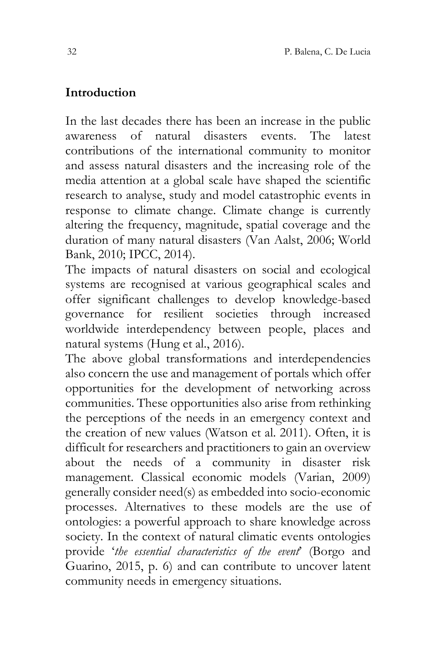### **Introduction**

In the last decades there has been an increase in the public awareness of natural disasters events. The latest contributions of the international community to monitor and assess natural disasters and the increasing role of the media attention at a global scale have shaped the scientific research to analyse, study and model catastrophic events in response to climate change. Climate change is currently altering the frequency, magnitude, spatial coverage and the duration of many natural disasters (Van Aalst, 2006; World Bank, 2010; IPCC, 2014).

The impacts of natural disasters on social and ecological systems are recognised at various geographical scales and offer significant challenges to develop knowledge-based governance for resilient societies through increased worldwide interdependency between people, places and natural systems (Hung et al., 2016).

The above global transformations and interdependencies also concern the use and management of portals which offer opportunities for the development of networking across communities. These opportunities also arise from rethinking the perceptions of the needs in an emergency context and the creation of new values (Watson et al. 2011). Often, it is difficult for researchers and practitioners to gain an overview about the needs of a community in disaster risk management. Classical economic models (Varian, 2009) generally consider need(s) as embedded into socio-economic processes. Alternatives to these models are the use of ontologies: a powerful approach to share knowledge across society. In the context of natural climatic events ontologies provide '*the essential characteristics of the event*' (Borgo and Guarino, 2015, p. 6) and can contribute to uncover latent community needs in emergency situations.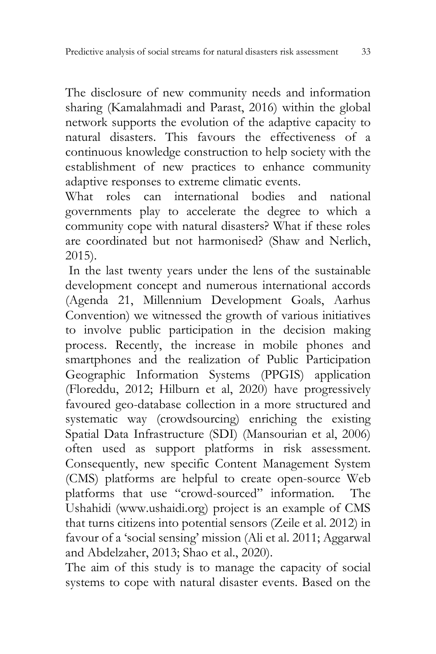The disclosure of new community needs and information sharing (Kamalahmadi and Parast, 2016) within the global network supports the evolution of the adaptive capacity to natural disasters. This favours the effectiveness of a continuous knowledge construction to help society with the establishment of new practices to enhance community adaptive responses to extreme climatic events.

What roles can international bodies and national governments play to accelerate the degree to which a community cope with natural disasters? What if these roles are coordinated but not harmonised? (Shaw and Nerlich, 2015).

In the last twenty years under the lens of the sustainable development concept and numerous international accords (Agenda 21, Millennium Development Goals, Aarhus Convention) we witnessed the growth of various initiatives to involve public participation in the decision making process. Recently, the increase in mobile phones and smartphones and the realization of Public Participation Geographic Information Systems (PPGIS) application (Floreddu, 2012; Hilburn et al, 2020) have progressively favoured geo-database collection in a more structured and systematic way (crowdsourcing) enriching the existing Spatial Data Infrastructure (SDI) (Mansourian et al, 2006) often used as support platforms in risk assessment. Consequently, new specific Content Management System (CMS) platforms are helpful to create open-source Web platforms that use "crowd-sourced" information. The Ushahidi (www.ushaidi.org) project is an example of CMS that turns citizens into potential sensors (Zeile et al. 2012) in favour of a 'social sensing' mission (Ali et al. 2011; Aggarwal and Abdelzaher, 2013; Shao et al., 2020).

The aim of this study is to manage the capacity of social systems to cope with natural disaster events. Based on the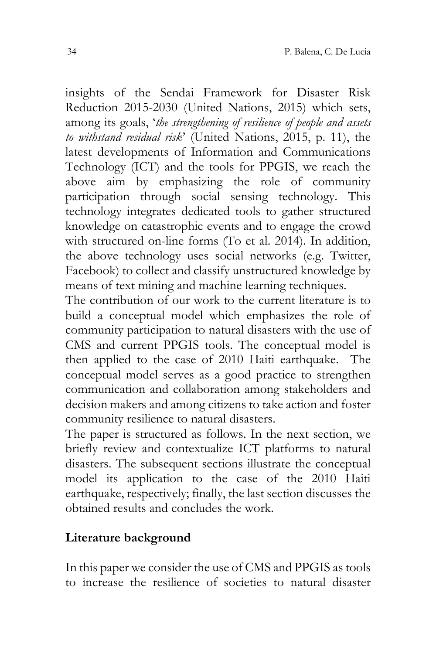insights of the Sendai Framework for Disaster Risk Reduction 2015-2030 (United Nations, 2015) which sets, among its goals, '*the strengthening of resilience of people and assets to withstand residual risk*' (United Nations, 2015, p. 11), the latest developments of Information and Communications Technology (ICT) and the tools for PPGIS, we reach the above aim by emphasizing the role of community participation through social sensing technology. This technology integrates dedicated tools to gather structured knowledge on catastrophic events and to engage the crowd with structured on-line forms (To et al. 2014). In addition, the above technology uses social networks (e.g. Twitter, Facebook) to collect and classify unstructured knowledge by means of text mining and machine learning techniques.

The contribution of our work to the current literature is to build a conceptual model which emphasizes the role of community participation to natural disasters with the use of CMS and current PPGIS tools. The conceptual model is then applied to the case of 2010 Haiti earthquake. The conceptual model serves as a good practice to strengthen communication and collaboration among stakeholders and decision makers and among citizens to take action and foster community resilience to natural disasters.

The paper is structured as follows. In the next section, we briefly review and contextualize ICT platforms to natural disasters. The subsequent sections illustrate the conceptual model its application to the case of the 2010 Haiti earthquake, respectively; finally, the last section discusses the obtained results and concludes the work.

#### **Literature background**

In this paper we consider the use of CMS and PPGIS as tools to increase the resilience of societies to natural disaster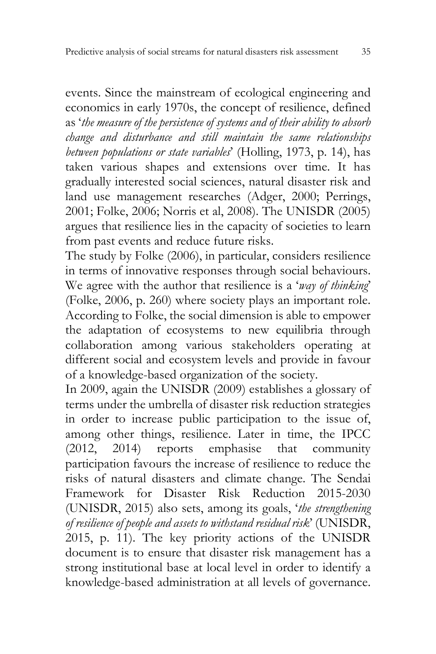events. Since the mainstream of ecological engineering and economics in early 1970s, the concept of resilience, defined as '*the measure of the persistence of systems and of their ability to absorb change and disturbance and still maintain the same relationships between populations or state variables*' (Holling, 1973, p. 14), has taken various shapes and extensions over time. It has gradually interested social sciences, natural disaster risk and land use management researches (Adger, 2000; Perrings, 2001; Folke, 2006; Norris et al, 2008). The UNISDR (2005) argues that resilience lies in the capacity of societies to learn from past events and reduce future risks.

The study by Folke (2006), in particular, considers resilience in terms of innovative responses through social behaviours. We agree with the author that resilience is a '*way of thinking*' (Folke, 2006, p. 260) where society plays an important role. According to Folke, the social dimension is able to empower the adaptation of ecosystems to new equilibria through collaboration among various stakeholders operating at different social and ecosystem levels and provide in favour of a knowledge-based organization of the society.

In 2009, again the UNISDR (2009) establishes a glossary of terms under the umbrella of disaster risk reduction strategies in order to increase public participation to the issue of, among other things, resilience. Later in time, the IPCC (2012, 2014) reports emphasise that community participation favours the increase of resilience to reduce the risks of natural disasters and climate change. The Sendai Framework for Disaster Risk Reduction 2015-2030 (UNISDR, 2015) also sets, among its goals, '*the strengthening of resilience of people and assets to withstand residual risk*' (UNISDR, 2015, p. 11). The key priority actions of the UNISDR document is to ensure that disaster risk management has a strong institutional base at local level in order to identify a knowledge-based administration at all levels of governance.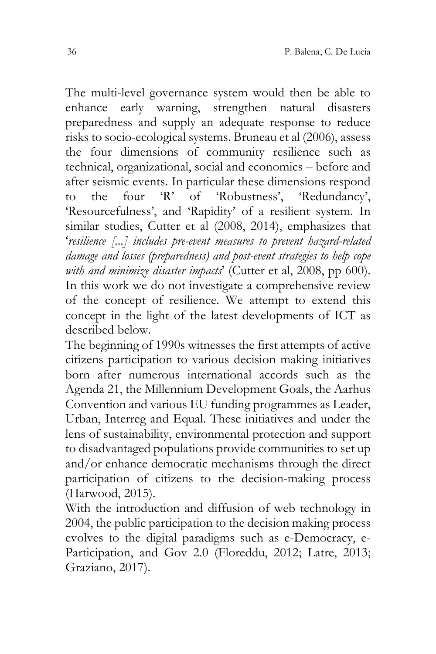The multi-level governance system would then be able to enhance early warning, strengthen natural disasters preparedness and supply an adequate response to reduce risks to socio-ecological systems. Bruneau et al (2006), assess the four dimensions of community resilience such as technical, organizational, social and economics – before and after seismic events. In particular these dimensions respond<br>to the four 'R' of 'Robustness'. 'Redundancy'. to the four 'R' of 'Robustness', 'Redundancy', 'Resourcefulness', and 'Rapidity' of a resilient system. In similar studies, Cutter et al (2008, 2014), emphasizes that '*resilience [...] includes pre-event measures to prevent hazard-related damage and losses (preparedness) and post-event strategies to help cope*  with and minimize disaster *impacts*' (Cutter et al. 2008, pp 600). In this work we do not investigate a comprehensive review of the concept of resilience. We attempt to extend this concept in the light of the latest developments of ICT as described below.

The beginning of 1990s witnesses the first attempts of active citizens participation to various decision making initiatives born after numerous international accords such as the Agenda 21, the Millennium Development Goals, the Aarhus Convention and various EU funding programmes as Leader, Urban, Interreg and Equal. These initiatives and under the lens of sustainability, environmental protection and support to disadvantaged populations provide communities to set up and/or enhance democratic mechanisms through the direct participation of citizens to the decision-making process (Harwood, 2015).

With the introduction and diffusion of web technology in 2004, the public participation to the decision making process evolves to the digital paradigms such as e-Democracy, e-Participation, and Gov 2.0 (Floreddu, 2012; Latre, 2013; Graziano, 2017).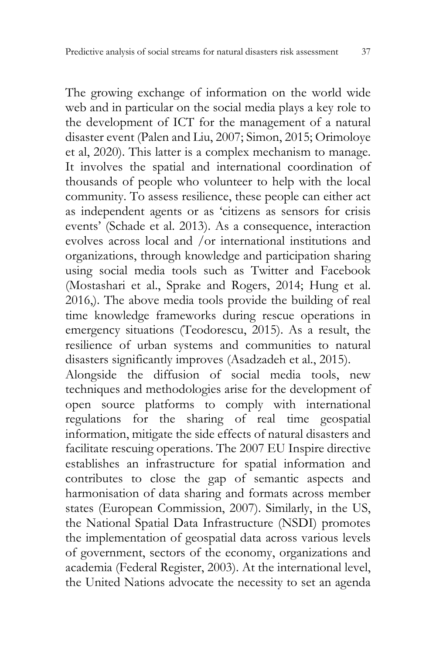The growing exchange of information on the world wide web and in particular on the social media plays a key role to the development of ICT for the management of a natural disaster event (Palen and Liu, 2007; Simon, 2015; Orimoloye et al, 2020). This latter is a complex mechanism to manage. It involves the spatial and international coordination of thousands of people who volunteer to help with the local community. To assess resilience, these people can either act as independent agents or as 'citizens as sensors for crisis events' (Schade et al. 2013). As a consequence, interaction evolves across local and /or international institutions and organizations, through knowledge and participation sharing using social media tools such as Twitter and Facebook (Mostashari et al., Sprake and Rogers, 2014; Hung et al. 2016,). The above media tools provide the building of real time knowledge frameworks during rescue operations in emergency situations (Teodorescu, 2015). As a result, the resilience of urban systems and communities to natural disasters significantly improves (Asadzadeh et al., 2015).

Alongside the diffusion of social media tools, new techniques and methodologies arise for the development of open source platforms to comply with international regulations for the sharing of real time geospatial information, mitigate the side effects of natural disasters and facilitate rescuing operations. The 2007 EU Inspire directive establishes an infrastructure for spatial information and contributes to close the gap of semantic aspects and harmonisation of data sharing and formats across member states (European Commission, 2007). Similarly, in the US, the National Spatial Data Infrastructure (NSDI) promotes the implementation of geospatial data across various levels of government, sectors of the economy, organizations and academia (Federal Register, 2003). At the international level, the United Nations advocate the necessity to set an agenda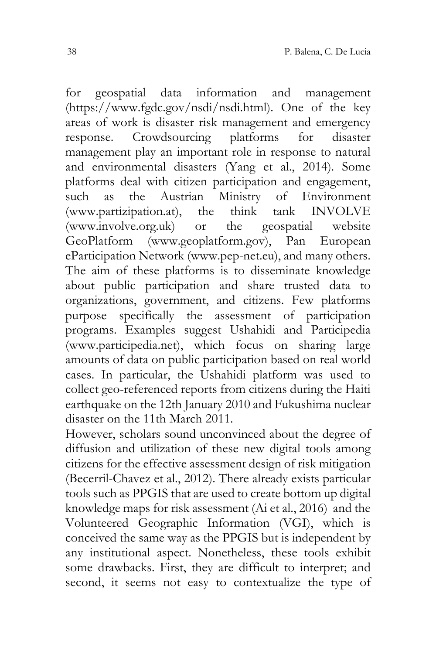for geospatial data information and management (https://www.fgdc.gov/nsdi/nsdi.html). One of the key areas of work is disaster risk management and emergency response. Crowdsourcing platforms for disaster management play an important role in response to natural and environmental disasters (Yang et al., 2014). Some platforms deal with citizen participation and engagement, such as the Austrian Ministry of Environment<br>
(www.partizination.at), the think tank INVOLVE  $(www.partialization.at)$ , the think (www.involve.org.uk) or the geospatial website GeoPlatform (www.geoplatform.gov), Pan European eParticipation Network (www.pep-net.eu), and many others. The aim of these platforms is to disseminate knowledge about public participation and share trusted data to organizations, government, and citizens. Few platforms purpose specifically the assessment of participation programs. Examples suggest Ushahidi and Participedia (www.participedia.net), which focus on sharing large amounts of data on public participation based on real world cases. In particular, the Ushahidi platform was used to collect geo-referenced reports from citizens during the Haiti earthquake on the 12th January 2010 and Fukushima nuclear disaster on the 11th March 2011.

However, scholars sound unconvinced about the degree of diffusion and utilization of these new digital tools among citizens for the effective assessment design of risk mitigation (Becerril-Chavez et al., 2012). There already exists particular tools such as PPGIS that are used to create bottom up digital knowledge maps for risk assessment (Ai et al., 2016) and the Volunteered Geographic Information (VGI), which is conceived the same way as the PPGIS but is independent by any institutional aspect. Nonetheless, these tools exhibit some drawbacks. First, they are difficult to interpret; and second, it seems not easy to contextualize the type of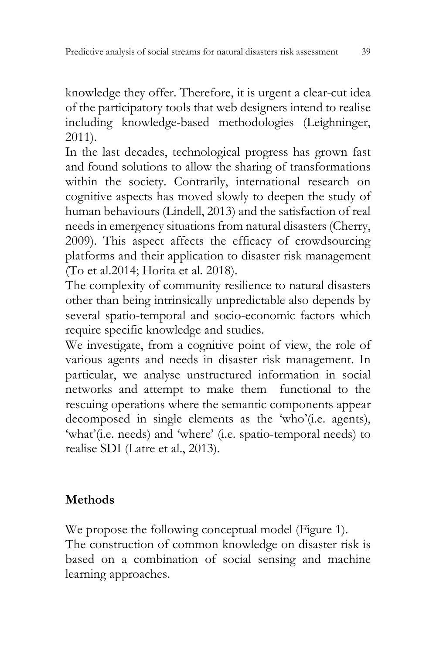knowledge they offer. Therefore, it is urgent a clear-cut idea of the participatory tools that web designers intend to realise including knowledge-based methodologies (Leighninger, 2011).

In the last decades, technological progress has grown fast and found solutions to allow the sharing of transformations within the society. Contrarily, international research on cognitive aspects has moved slowly to deepen the study of human behaviours (Lindell, 2013) and the satisfaction of real needs in emergency situations from natural disasters (Cherry, 2009). This aspect affects the efficacy of crowdsourcing platforms and their application to disaster risk management (To et al.2014; Horita et al. 2018).

The complexity of community resilience to natural disasters other than being intrinsically unpredictable also depends by several spatio-temporal and socio-economic factors which require specific knowledge and studies.

We investigate, from a cognitive point of view, the role of various agents and needs in disaster risk management. In particular, we analyse unstructured information in social networks and attempt to make them functional to the rescuing operations where the semantic components appear decomposed in single elements as the 'who'(i.e. agents), 'what'(i.e. needs) and 'where' (i.e. spatio-temporal needs) to realise SDI (Latre et al., 2013).

## **Methods**

We propose the following conceptual model (Figure 1). The construction of common knowledge on disaster risk is based on a combination of social sensing and machine learning approaches.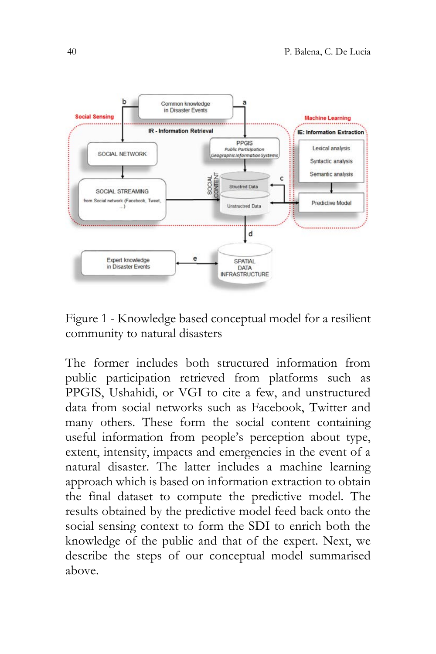

<span id="page-9-0"></span>Figure 1 - Knowledge based conceptual model for a resilient community to natural disasters

The former includes both structured information from public participation retrieved from platforms such as PPGIS, Ushahidi, or VGI to cite a few, and unstructured data from social networks such as Facebook, Twitter and many others. These form the social content containing useful information from people's perception about type, extent, intensity, impacts and emergencies in the event of a natural disaster. The latter includes a machine learning approach which is based on information extraction to obtain the final dataset to compute the predictive model. The results obtained by the predictive model feed back onto the social sensing context to form the SDI to enrich both the knowledge of the public and that of the expert. Next, we describe the steps of our conceptual model summarised above.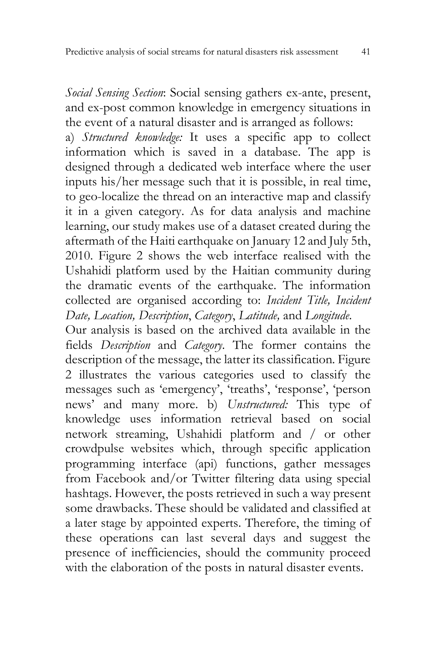*Social Sensing Section*: Social sensing gathers ex-ante, present, and ex-post common knowledge in emergency situations in the event of a natural disaster and is arranged as follows:

a) *Structured knowledge:* It uses a specific app to collect information which is saved in a database. The app is designed through a dedicated web interface where the user inputs his/her message such that it is possible, in real time, to geo-localize the thread on an interactive map and classify it in a given category. As for data analysis and machine learning, our study makes use of a dataset created during the aftermath of the Haiti earthquake on January 12 and July 5th, 2010. Figure 2 shows the web interface realised with the Ushahidi platform used by the Haitian community during the dramatic events of the earthquake. The information collected are organised according to: *Incident Title, Incident Date, Location, Description*, *Category*, *Latitude,* and *Longitude*.

Our analysis is based on the archived data available in the fields *Description* and *Category*. The former contains the description of the message, the latter its classification. Figure 2 illustrates the various categories used to classify the messages such as 'emergency', 'treaths', 'response', 'person news' and many more. b) *Unstructured:* This type of knowledge uses information retrieval based on social network streaming, Ushahidi platform and / or other crowdpulse websites which, through specific application programming interface (api) functions, gather messages from Facebook and/or Twitter filtering data using special hashtags. However, the posts retrieved in such a way present some drawbacks. These should be validated and classified at a later stage by appointed experts. Therefore, the timing of these operations can last several days and suggest the presence of inefficiencies, should the community proceed with the elaboration of the posts in natural disaster events.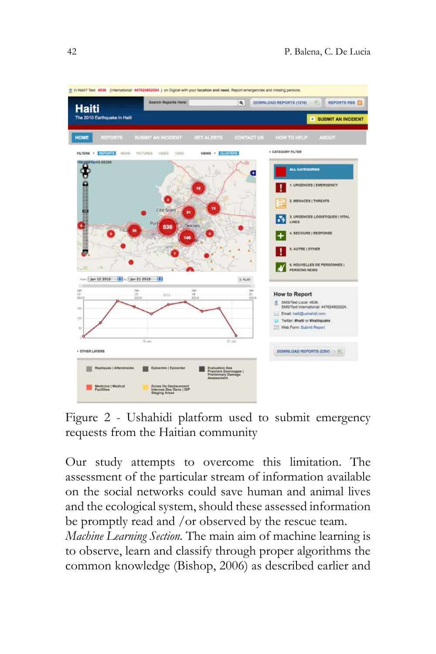

Figure 2 - Ushahidi platform used to submit emergency requests from the Haitian community

Our study attempts to overcome this limitation. The assessment of the particular stream of information available on the social networks could save human and animal lives and the ecological system, should these assessed information be promptly read and /or observed by the rescue team.

*Machine Learning Section.* The main aim of machine learning is to observe, learn and classify through proper algorithms the common knowledge (Bishop, 2006) as described earlier and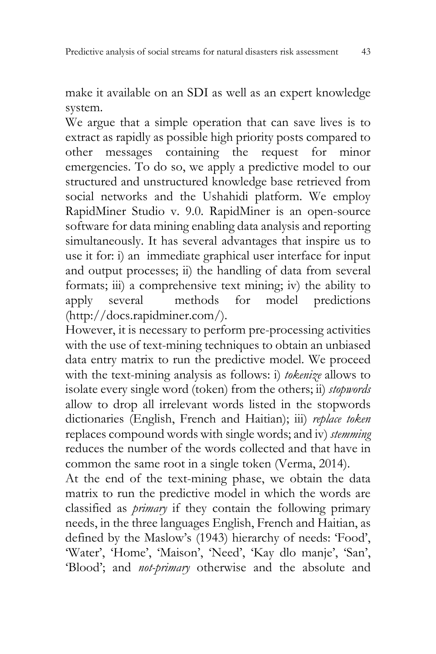make it available on an SDI as well as an expert knowledge system.

We argue that a simple operation that can save lives is to extract as rapidly as possible high priority posts compared to other messages containing the request for minor emergencies. To do so, we apply a predictive model to our structured and unstructured knowledge base retrieved from social networks and the Ushahidi platform. We employ RapidMiner Studio v. 9.0. RapidMiner is an open-source software for data mining enabling data analysis and reporting simultaneously. It has several advantages that inspire us to use it for: i) an immediate graphical user interface for input and output processes; ii) the handling of data from several formats; iii) a comprehensive text mining; iv) the ability to<br>apply several methods for model predictions apply several methods for model predictions (http://docs.rapidminer.com/).

However, it is necessary to perform pre-processing activities with the use of text-mining techniques to obtain an unbiased data entry matrix to run the predictive model. We proceed with the text-mining analysis as follows: i) *tokenize* allows to isolate every single word (token) from the others; ii) *stopwords* allow to drop all irrelevant words listed in the stopwords dictionaries (English, French and Haitian); iii) *replace token* replaces compound words with single words; and iv) *stemming* reduces the number of the words collected and that have in common the same root in a single token (Verma, 2014).

At the end of the text-mining phase, we obtain the data matrix to run the predictive model in which the words are classified as *primary* if they contain the following primary needs, in the three languages English, French and Haitian, as defined by the Maslow's (1943) hierarchy of needs: 'Food', 'Water', 'Home', 'Maison', 'Need', 'Kay dlo manje', 'San', 'Blood'; and *not-primary* otherwise and the absolute and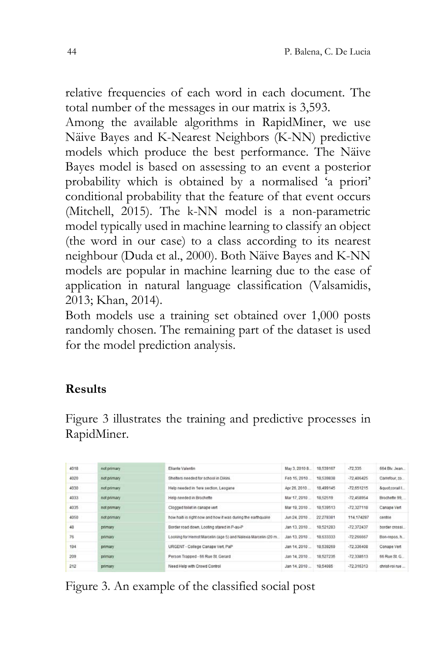relative frequencies of each word in each document. The total number of the messages in our matrix is 3,593.

Among the available algorithms in RapidMiner, we use Näive Bayes and K-Nearest Neighbors (K-NN) predictive models which produce the best performance. The Näive Bayes model is based on assessing to an event a posterior probability which is obtained by a normalised 'a priori' conditional probability that the feature of that event occurs (Mitchell, 2015). The k-NN model is a non-parametric model typically used in machine learning to classify an object (the word in our case) to a class according to its nearest neighbour (Duda et al., 2000). Both Näive Bayes and K-NN models are popular in machine learning due to the ease of application in natural language classification (Valsamidis, 2013; Khan, 2014).

Both models use a training set obtained over 1,000 posts randomly chosen. The remaining part of the dataset is used for the model prediction analysis.

## **Results**

Figure 3 illustrates the training and predictive processes in RapidMiner.

| 4018 | not primary | Eliante Valentin                                                   | May 3, 2010 8            | 18.539167    | $-72.335$      | 664 Blv. Jean  |
|------|-------------|--------------------------------------------------------------------|--------------------------|--------------|----------------|----------------|
| 4020 | not primary | Shelters needed for school in Dikini.                              | Feb 15, 2010             | 18 539838    | $-72.406425$   | Carrefour, 20  |
| 4030 | not primary | Apr 26, 2010<br>18 499 145<br>Help needed in 1ere section, Leogane |                          | $-72.651215$ | &quot.corail I |                |
| 4033 | not primary | Help needed in Brochette                                           | Mar 17, 2010<br>18.52519 |              | $-72.458954$   | Brochette 99.  |
| 4035 | not primary | Clooped toilet in canage vert                                      | Mar 19, 2010             | 18.539513    | $-72.327118$   | Canape Vert    |
| 4050 | not primary | how halb is right now and how it was during the earthquake         | Jun 24, 2010             | 22 278381    | 114, 174287    | centrie        |
| 48   | primary     | Border road down, Looting stared in P-au-P                         | Jan 13, 2010             | 18.521283    | $-72.372437$   | border crossi  |
| 76   | primary     | Looking for Hernst Marcelin (age 5) and Nalexia Marcelin (20 m.    | Jan 13, 2010             | 18.633333    | $-72.266667$   | Bon-repos. h.  |
| 194  | primary     | URGENT - College Canage Vert, PaP                                  | Jan 14, 2010             | 18,539269    | $-72.336408$   | Conape Vert    |
| 209  | primary     | Person Trapped - 66 Rue St Gerard                                  | Jan 14, 2010             | 18 527235    | $-72.338513$   | 66 Rue St. G.  |
| 212  | primary     | Need Help with Crowd Control                                       | Jan 14, 2010             | 18,54085     | $-72.316313$   | christ-roi rue |
|      |             |                                                                    |                          |              |                |                |

Figure 3. An example of the classified social post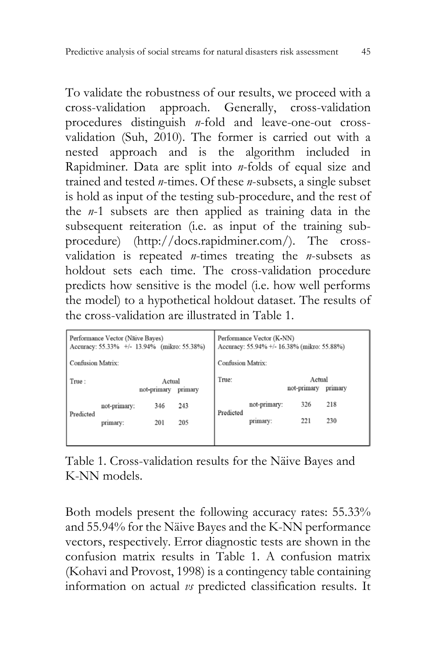To validate the robustness of our results, we proceed with a cross-validation approach. Generally, cross-validation procedures distinguish *n*-fold and leave-one-out crossvalidation (Suh, 2010). The former is carried out with a nested approach and is the algorithm included in Rapidminer. Data are split into *n*-folds of equal size and trained and tested *n*-times. Of these *n*-subsets, a single subset is hold as input of the testing sub-procedure, and the rest of the *n*-1 subsets are then applied as training data in the subsequent reiteration (i.e. as input of the training subprocedure) (http://docs.rapidminer.com/). The crossvalidation is repeated *n*-times treating the *n*-subsets as holdout sets each time. The cross-validation procedure predicts how sensitive is the model (i.e. how well performs the model) to a hypothetical holdout dataset. The results of the cross-validation are illustrated in Table 1.

| Performance Vector (Näive Bayes)<br>Accuracy: 55.33% +/- 13.94% (mikro: 55.38%) |              |                                  |     | Performance Vector (K-NN)<br>Accuracy: 55.94% +/- 16.38% (mikro: 55.88%) |                       |     |         |  |
|---------------------------------------------------------------------------------|--------------|----------------------------------|-----|--------------------------------------------------------------------------|-----------------------|-----|---------|--|
| <b>Confusion Matrix:</b>                                                        |              |                                  |     | <b>Confusion Matrix:</b>                                                 |                       |     |         |  |
| True:                                                                           |              | Actual<br>not-primary<br>primary |     | True:                                                                    | Actual<br>not-primary |     | primary |  |
| Predicted                                                                       | not-primary: | 346                              | 243 | Predicted                                                                | not-primary:          | 326 | 218     |  |
|                                                                                 | primary:     | 201                              | 205 |                                                                          | primary:              | 221 | 230     |  |
|                                                                                 |              |                                  |     |                                                                          |                       |     |         |  |

Table 1. Cross-validation results for the Näive Bayes and K-NN models.

Both models present the following accuracy rates: 55.33% and 55.94% for the Näive Bayes and the K-NN performance vectors, respectively. Error diagnostic tests are shown in the confusion matrix results in Table 1. A confusion matrix (Kohavi and Provost, 1998) is a contingency table containing information on actual *vs* predicted classification results. It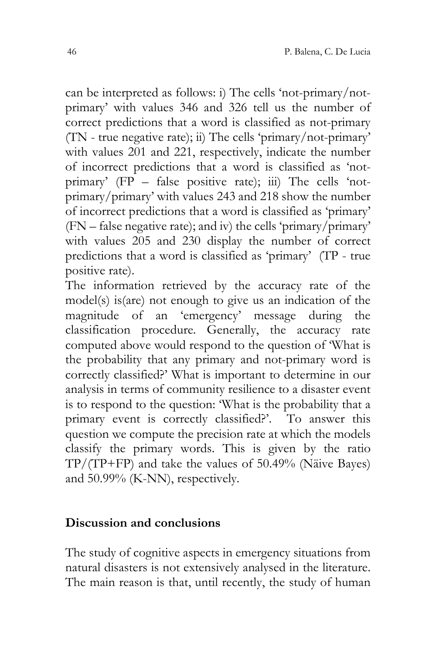can be interpreted as follows: i) The cells 'not-primary/notprimary' with values 346 and 326 tell us the number of correct predictions that a word is classified as not-primary (TN - true negative rate); ii) The cells 'primary/not-primary' with values 201 and 221, respectively, indicate the number of incorrect predictions that a word is classified as 'notprimary'  $(FP - false positive rate)$ ; iii) The cells 'notprimary/primary' with values 243 and 218 show the number of incorrect predictions that a word is classified as 'primary' (FN – false negative rate); and iv) the cells 'primary/primary' with values 205 and 230 display the number of correct predictions that a word is classified as 'primary' (TP - true positive rate).

The information retrieved by the accuracy rate of the model(s) is(are) not enough to give us an indication of the magnitude of an 'emergency' message during the classification procedure. Generally, the accuracy rate computed above would respond to the question of 'What is the probability that any primary and not-primary word is correctly classified?' What is important to determine in our analysis in terms of community resilience to a disaster event is to respond to the question: 'What is the probability that a primary event is correctly classified?'. To answer this question we compute the precision rate at which the models classify the primary words. This is given by the ratio TP/(TP+FP) and take the values of 50.49% (Näive Bayes) and 50.99% (K-NN), respectively.

#### **Discussion and conclusions**

The study of cognitive aspects in emergency situations from natural disasters is not extensively analysed in the literature. The main reason is that, until recently, the study of human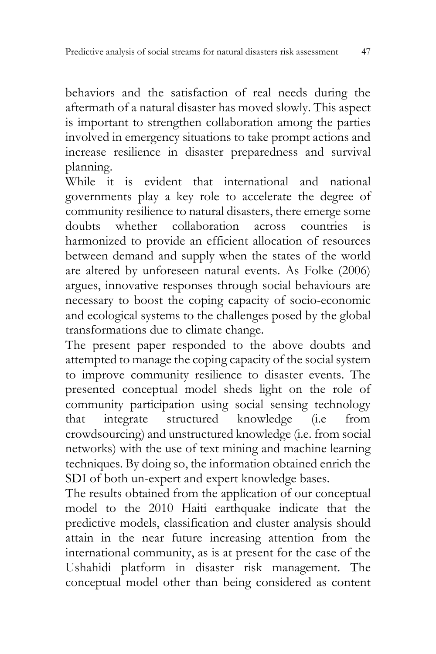behaviors and the satisfaction of real needs during the aftermath of a natural disaster has moved slowly. This aspect is important to strengthen collaboration among the parties involved in emergency situations to take prompt actions and increase resilience in disaster preparedness and survival planning.

While it is evident that international and national governments play a key role to accelerate the degree of community resilience to natural disasters, there emerge some<br>doubts whether collaboration across countries is doubts whether collaboration across countries is harmonized to provide an efficient allocation of resources between demand and supply when the states of the world are altered by unforeseen natural events. As Folke (2006) argues, innovative responses through social behaviours are necessary to boost the coping capacity of socio-economic and ecological systems to the challenges posed by the global transformations due to climate change.

The present paper responded to the above doubts and attempted to manage the coping capacity of the social system to improve community resilience to disaster events. The presented conceptual model sheds light on the role of community participation using social sensing technology<br>that integrate structured knowledge (i.e from that integrate structured knowledge (i.e from crowdsourcing) and unstructured knowledge (i.e. from social networks) with the use of text mining and machine learning techniques. By doing so, the information obtained enrich the SDI of both un-expert and expert knowledge bases.

The results obtained from the application of our conceptual model to the 2010 Haiti earthquake indicate that the predictive models, classification and cluster analysis should attain in the near future increasing attention from the international community, as is at present for the case of the Ushahidi platform in disaster risk management. The conceptual model other than being considered as content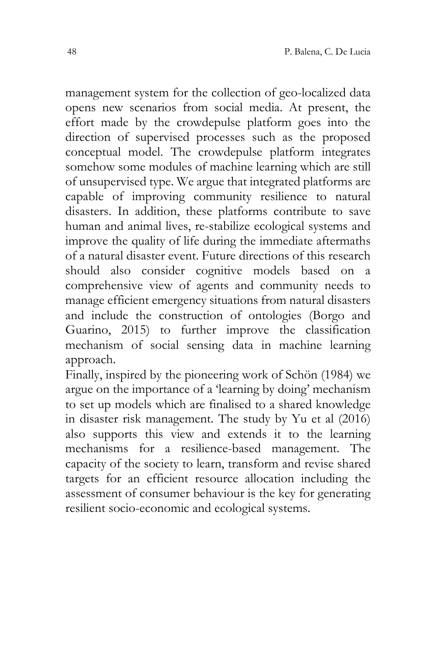management system for the collection of geo-localized data opens new scenarios from social media. At present, the effort made by the crowdepulse platform goes into the direction of supervised processes such as the proposed conceptual model. The crowdepulse platform integrates somehow some modules of machine learning which are still of unsupervised type. We argue that integrated platforms are capable of improving community resilience to natural disasters. In addition, these platforms contribute to save human and animal lives, re-stabilize ecological systems and improve the quality of life during the immediate aftermaths of a natural disaster event. Future directions of this research should also consider cognitive models based on a comprehensive view of agents and community needs to manage efficient emergency situations from natural disasters and include the construction of ontologies (Borgo and Guarino, 2015) to further improve the classification mechanism of social sensing data in machine learning approach.

Finally, inspired by the pioneering work of Schön (1984) we argue on the importance of a 'learning by doing' mechanism to set up models which are finalised to a shared knowledge in disaster risk management. The study by Yu et al (2016) also supports this view and extends it to the learning mechanisms for a resilience-based management. The capacity of the society to learn, transform and revise shared targets for an efficient resource allocation including the assessment of consumer behaviour is the key for generating resilient socio-economic and ecological systems.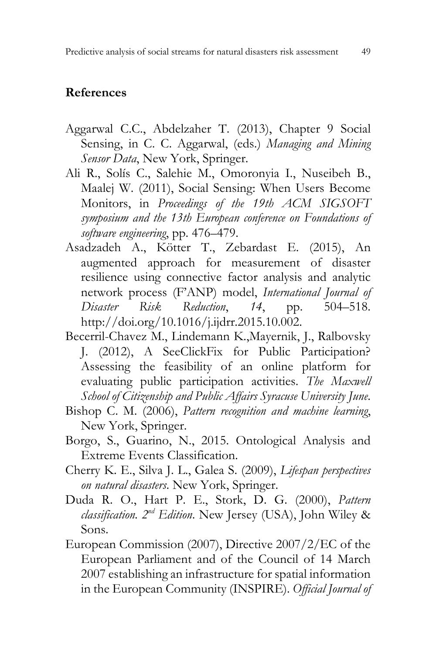#### **References**

- Aggarwal C.C., Abdelzaher T. (2013), Chapter 9 Social Sensing, in C. C. Aggarwal, (eds.) *Managing and Mining Sensor Data*, New York, Springer.
- Ali R., Solís C., Salehie M., Omoronyia I., Nuseibeh B., Maalej W. (2011), Social Sensing: When Users Become Monitors, in *Proceedings of the 19th ACM SIGSOFT symposium and the 13th European conference on Foundations of software engineering*, pp. 476–479.
- Asadzadeh A., Kötter T., Zebardast E. (2015), An augmented approach for measurement of disaster resilience using connective factor analysis and analytic network process (F'ANP) model, *International Journal of Disaster Risk Reduction*, *14*, pp. 504–518. http://doi.org/10.1016/j.ijdrr.2015.10.002.
- Becerril-Chavez M., Lindemann K.,Mayernik, J., Ralbovsky J. (2012), A SeeClickFix for Public Participation? Assessing the feasibility of an online platform for evaluating public participation activities. *The Maxwell School of Citizenship and Public Affairs Syracuse University June*.
- Bishop C. M. (2006), *Pattern recognition and machine learning*, New York, Springer.
- Borgo, S., Guarino, N., 2015. Ontological Analysis and Extreme Events Classification.
- Cherry K. E., Silva J. L., Galea S. (2009), *Lifespan perspectives on natural disasters*. New York, Springer.
- Duda R. O., Hart P. E., Stork, D. G. (2000), *Pattern classification. 2nd Edition*. New Jersey (USA), John Wiley & Sons.
- European Commission (2007), Directive 2007/2/EC of the European Parliament and of the Council of 14 March 2007 establishing an infrastructure for spatial information in the European Community (INSPIRE). *Official Journal of*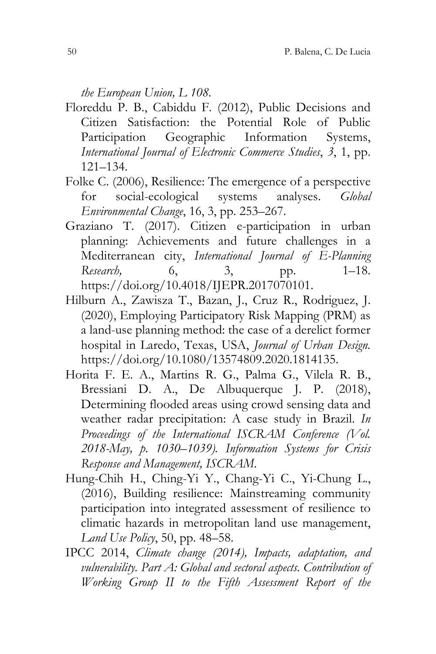*the European Union, L 108.*

- Floreddu P. B., Cabiddu F. (2012), Public Decisions and Citizen Satisfaction: the Potential Role of Public Participation Geographic Information Systems, *International Journal of Electronic Commerce Studies*, *3*, 1, pp. 121–134.
- Folke C. (2006), Resilience: The emergence of a perspective for social-ecological systems analyses. *Global Environmental Change*, 16, 3, pp. 253–267.
- Graziano T. (2017). Citizen e-participation in urban planning: Achievements and future challenges in a Mediterranean city, *International Journal of E-Planning Research,* 6, 3, pp. 1–18. https://doi.org/10.4018/IJEPR.2017070101.
- Hilburn A., Zawisza T., Bazan, J., Cruz R., Rodriguez, J. (2020), Employing Participatory Risk Mapping (PRM) as a land-use planning method: the case of a derelict former hospital in Laredo, Texas, USA, *Journal of Urban Design.* https://doi.org/10.1080/13574809.2020.1814135.
- Horita F. E. A., Martins R. G., Palma G., Vilela R. B., Bressiani D. A., De Albuquerque J. P. (2018), Determining flooded areas using crowd sensing data and weather radar precipitation: A case study in Brazil. *In Proceedings of the International ISCRAM Conference (Vol. 2018-May, p. 1030–1039). Information Systems for Crisis Response and Management, ISCRAM*.
- Hung-Chih H., Ching-Yi Y., Chang-Yi C., Yi-Chung L., (2016), Building resilience: Mainstreaming community participation into integrated assessment of resilience to climatic hazards in metropolitan land use management, *Land Use Policy*, 50, pp. 48–58.
- IPCC 2014, *Climate change (2014), Impacts, adaptation, and vulnerability. Part A: Global and sectoral aspects. Contribution of Working Group II to the Fifth Assessment Report of the*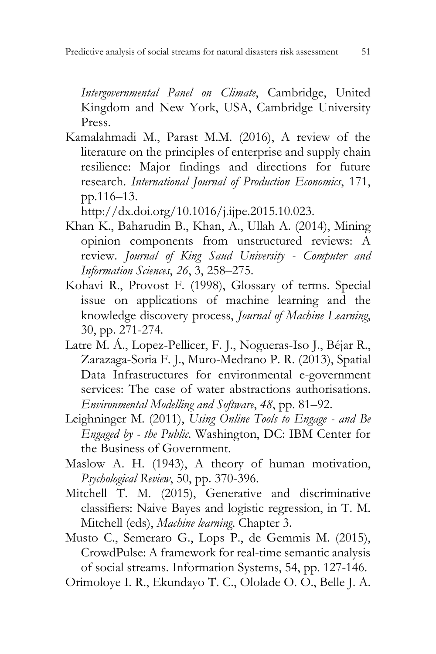*Intergovernmental Panel on Climate*, Cambridge, United Kingdom and New York, USA, Cambridge University Press.

Kamalahmadi M., Parast M.M. (2016), A review of the literature on the principles of enterprise and supply chain resilience: Major findings and directions for future research. *International Journal of Production Economics*, 171, pp.116–13.

http://dx.doi.org/10.1016/j.ijpe.2015.10.023.

- Khan K., Baharudin B., Khan, A., Ullah A. (2014), Mining opinion components from unstructured reviews: A review. *Journal of King Saud University - Computer and Information Sciences*, *26*, 3, 258–275.
- Kohavi R., Provost F. (1998), Glossary of terms. Special issue on applications of machine learning and the knowledge discovery process, *Journal of Machine Learning*, 30, pp. 271-274.
- Latre M. Á., Lopez-Pellicer, F. J., Nogueras-Iso J., Béjar R., Zarazaga-Soria F. J., Muro-Medrano P. R. (2013), Spatial Data Infrastructures for environmental e-government services: The case of water abstractions authorisations. *Environmental Modelling and Software*, *48*, pp. 81–92.
- Leighninger M. (2011), *Using Online Tools to Engage - and Be Engaged by - the Public*. Washington, DC: IBM Center for the Business of Government.
- Maslow A. H. (1943), A theory of human motivation, *Psychological Review*, 50, pp. 370-396.
- Mitchell T. M. (2015), Generative and discriminative classifiers: Naive Bayes and logistic regression, in T. M. Mitchell (eds), *Machine learning*. Chapter 3.
- Musto C., Semeraro G., Lops P., de Gemmis M. (2015), CrowdPulse: A framework for real-time semantic analysis of social streams. Information Systems, 54, pp. 127-146.

Orimoloye I. R., Ekundayo T. C., Ololade O. O., Belle J. A.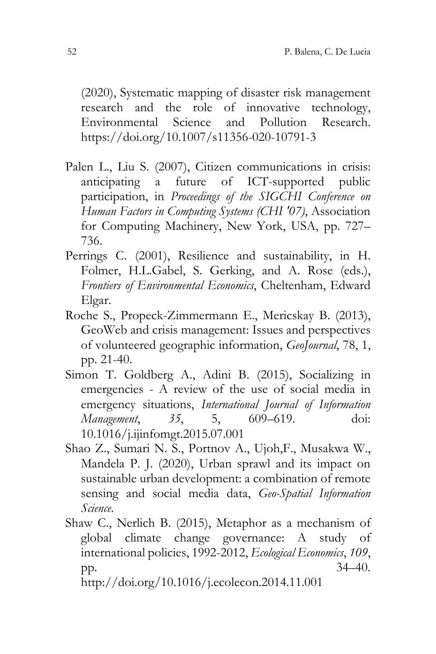(2020), Systematic mapping of disaster risk management research and the role of innovative technology, Environmental Science and Pollution Research. https://doi.org/10.1007/s11356-020-10791-3

- Palen L., Liu S. (2007), Citizen communications in crisis: anticipating a future of ICT-supported public participation, in *Proceedings of the SIGCHI Conference on Human Factors in Computing Systems (CHI '07)*, Association for Computing Machinery, New York, USA, pp. 727– 736.
- Perrings C. (2001), Resilience and sustainability, in H. Folmer, H.L.Gabel, S. Gerking, and A. Rose (eds.), *Frontiers of Environmental Economics*, Cheltenham, Edward Elgar.
- Roche S., Propeck-Zimmermann E., Mericskay B. (2013), GeoWeb and crisis management: Issues and perspectives of volunteered geographic information, *GeoJournal*, 78, 1, pp. 21-40.
- Simon T. Goldberg A., Adini B. (2015), Socializing in emergencies - A review of the use of social media in emergency situations, *International Journal of Information Management*, *35*, 5, 609–619. doi: 10.1016/j.ijinfomgt.2015.07.001
- Shao Z., Sumari N. S., Portnov A., Ujoh,F., Musakwa W., Mandela P. J. (2020), Urban sprawl and its impact on sustainable urban development: a combination of remote sensing and social media data, *Geo-Spatial Information Science*.
- Shaw C., Nerlich B. (2015), Metaphor as a mechanism of global climate change governance: A study of international policies, 1992-2012, *Ecological Economics*, *109*, pp. 34–40.

http://doi.org/10.1016/j.ecolecon.2014.11.001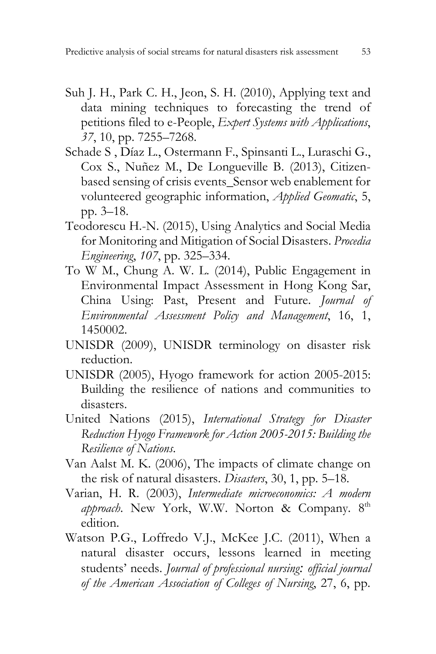- Suh J. H., Park C. H., Jeon, S. H. (2010), Applying text and data mining techniques to forecasting the trend of petitions filed to e-People, *Expert Systems with Applications*, *37*, 10, pp. 7255–7268.
- Schade S , Díaz L., Ostermann F., Spinsanti L., Luraschi G., Cox S., Nuñez M., De Longueville B. (2013), Citizenbased sensing of crisis events\_Sensor web enablement for volunteered geographic information, *Applied Geomatic*, 5, pp. 3–18.
- Teodorescu H.-N. (2015), Using Analytics and Social Media for Monitoring and Mitigation of Social Disasters. *Procedia Engineering*, *107*, pp. 325–334.
- To W M., Chung A. W. L. (2014), Public Engagement in Environmental Impact Assessment in Hong Kong Sar, China Using: Past, Present and Future. *Journal of Environmental Assessment Policy and Management*, 16, 1, 1450002.
- UNISDR (2009), UNISDR terminology on disaster risk reduction.
- UNISDR (2005), Hyogo framework for action 2005-2015: Building the resilience of nations and communities to disasters.
- United Nations (2015), *International Strategy for Disaster Reduction Hyogo Framework for Action 2005-2015: Building the Resilience of Nations*.
- Van Aalst M. K. (2006), The impacts of climate change on the risk of natural disasters. *Disasters*, 30, 1, pp. 5–18.
- Varian, H. R. (2003), *Intermediate microeconomics: A modern*  approach. New York, W.W. Norton & Company. 8<sup>th</sup> edition.
- Watson P.G., Loffredo V.J., McKee J.C. (2011), When a natural disaster occurs, lessons learned in meeting students' needs. *Journal of professional nursing: official journal of the American Association of Colleges of Nursing*, 27, 6, pp.